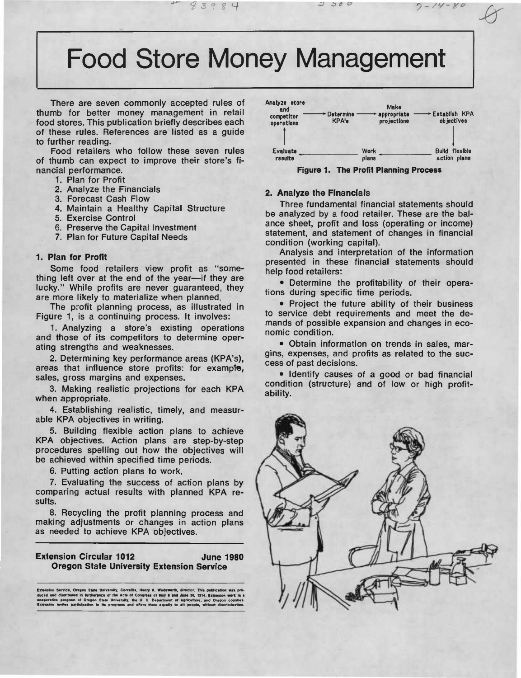# **Food Store Money Management**

There are seven commonly accepted rules of thumb for better money management in retail food stores. This publication briefly describes each of these rules. References are listed as a quide to further reading.

Food retailers who follow these seven rules of thumb can expect to improve their store's financial performance.

- 1. Plan for Profit
- 2. Analyze the Financials
- 3. Forecast Cash Flow
- 4. Maintain a Healthy Capital Structure
- 5. Exercise Control
- 6. Preserve the Capital Investment
- 7. Plan for Future Capital Needs

#### 1. Plan for Profit

Some food retailers view profit as "something left over at the end of the year--- if they are lucky." While profits are never guaranteed, they are more likely to materialize when planned.

The profit planning process, as illustrated in Figure 1, is a continuing process. It involves:

1. Analyzing a store's existing operations and those of its competitors to determine operating strengths and weaknesses.

2. Determining key performance areas (KPA's), areas that influence store profits: for example, sales, gross margins and expenses.

3. Making realistic projections for each KPA when appropriate.

4. Establishing realistic, timely, and measurable KPA objectives in writing.

5. Building flexible action plans to achieve KPA objectives. Action plans are step-by-step procedures spelling out how the objectives will be achieved within specified time periods.

6. Putting action plans to work.

7. Evaluating the success of action plans by comparing actual results with planned KPA results.

8. Recycling the profit planning process and making adjustments or changes in action plans as needed to achieve KPA objectives.

#### **Extension Circular 1012 June 1980 Oregon State University Extension Service**

sesion Service, Oregon State University, Corvallis, Henry A. Wadsworth, director. This publi<br>sel and distributed in furtherance of the Acts of Congress of May 8 and June 30, 1914. Extra<br>persitive program of Oregon State Un



**Figure 1. The Profit Planning Process** 

#### 2. Analyze the Financials

Three fundamental financial statements should be analyzed by a food retailer. These are the balance sheet, profit and loss (operating or income) statement, and statement of changes in financial condition (working capital).

Analysis and interpretation of the information presented in these financial statements should help food retailers:

• Determine the profitability of their operations during specific time periods.

• Project the future ability of their business to service debt requirements and meet the demands of possible expansion and changes in economic condition.

· Obtain information on trends in sales, margins, expenses, and profits as related to the success of past decisions.

· Identify causes of a good or bad financial condition (structure) and of low or high profitability.

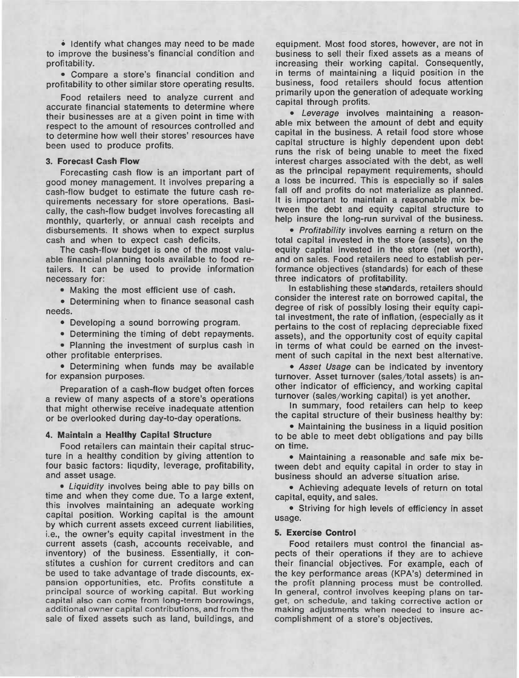• Identify what changes may need to be made to improve the business's financial condition and profitability.

• Compare a store's financial condition and profitability to other similar store operating results.

Food retailers need to analyze current and accurate financial statements to determine where their businesses are at a given point in time with respect to the amount of resources controlled and to determine how well their stores' resources have been used to produce profits.

### **3. Forecast Cash Flow**

Forecasting cash flow is an important part of good money management. It involves preparing a cash-flow budget to estimate the future cash requirements necessary for store operations. Basically, the cash-flow budget involves forecasting all monthly, quarterly, or annual cash receipts and disbursements. It shows when to expect surplus cash and when to expect cash deficits.

The cash-flow budget is one of the most valuable financial planning tools available to food retailers. It can be used to provide information necessary for:

• Making the most efficient use of cash.

• Determining when to finance seasonal cash needs.

• Developing a sound borrowing program.

• Determining the timing of debt repayments.

• Planning the investment of surplus cash in other profitable enterprises.

• Determining when funds may be available for expansion purposes.

Preparation of a cash-flow budget often forces a review of many aspects of a store's operations that might otherwise receive inadequate attention or be overlooked during day-to-day operations.

# **4. Maintain a Healthy Capital Structure**

Food retailers can maintain their capital structure in a healthy condition by giving attention to four basic factors: liqudity, leverage, profitability, and asset usage.

• *Liquidity* involves being able to pay bills on time and when they come due. To a large extent, this involves maintaining an adequate working capital position. Working capital is the amount by which current assets exceed current liabilities, i.e., the owner's equity capital investment in the current assets (cash, accounts receivable, and inventory) of the business. Essentially, it constitutes a cushion for current creditors and can be used to take advantage of trade discounts, expansion opportunities, etc. Profits constitute a principal source of working capital. But working capital also can come from long-term borrowings, additional owner capital contributions, and from the sale of fixed assets such as land, buildings, and

equipment. Most food stores, however, are not in business to sell their fixed assets as a means of increasing their working capital. Consequently, in terms of maintaining a liquid position in the business, food retailers should focus attention primarily upon the generation of adequate working capital through profits.

• *Leverage* involves maintaining a reasonable mix between the amount of debt and equity capital in the business. A retail food store whose capital structure is highly dependent upon debt runs the risk of being unable to meet the fixed interest charges associated with the debt, as well as the principal repayment requirements, should a loss be incurred. This is especially so if sales fall off and profits do not materialize as planned. It is important to maintain a reasonable mix between the debt and equity capital structure to help insure the long-run survival of the business.

• *Profitability* involves earning a return on the total capital invested in the store (assets), on the equity capital invested in the store (net worth), and on sales. Food retailers need to establish performance objectives (standards) for each of these three indicators of profitability.

In establishing these standards, retailers should consider the interest rate on borrowed capital, the degree of risk of possibly losing their equity capital investment, the rate of inflation, (especially as it pertains to the cost of replacing depreciable fixed assets), and the opportunity cost of equity capital in terms of what could be earned on the investment of such capital in the next best alternative.

• Asset *Usage* can be indicated by inventory turnover. Asset turnover (sales/total assets) is another indicator of efficiency, and working capital turnover (sales/working capital) is yet another.

In summary, food retailers can help to keep the capital structure of their business healthy by:

• Maintaining the business in a liquid position to be able to meet debt obligations and pay bills on time.

• Maintaining a reasonable and safe mix between debt and equity capital in order to stay in business should an adverse situation arise.

• Achieving adequate levels of return on total capital, equity, and sales.

• Striving for high levels of efficiency in asset usage.

#### **5. Exercise Control**

Food retailers must control the financial aspects of their operations if they are to achieve their financial objectives. For example, each of the key performance areas (KPA's) determined in the profit planning process must be controlled. In general, control involves keeping plans on target, on schedule, and taking corrective action or making adjustments when needed to insure accomplishment of a store's objectives.